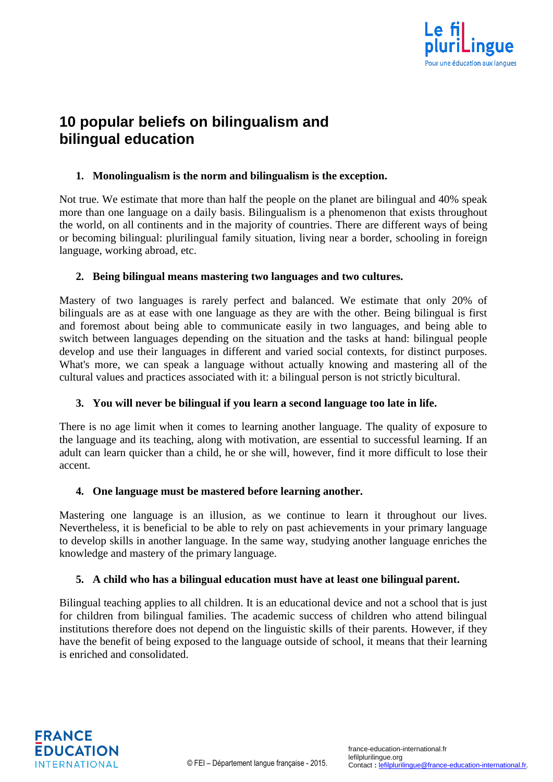

# **10 popular beliefs on bilingualism and bilingual education**

#### **1. Monolingualism is the norm and bilingualism is the exception.**

Not true. We estimate that more than half the people on the planet are bilingual and 40% speak more than one language on a daily basis. Bilingualism is a phenomenon that exists throughout the world, on all continents and in the majority of countries. There are different ways of being or becoming bilingual: plurilingual family situation, living near a border, schooling in foreign language, working abroad, etc.

### **2. Being bilingual means mastering two languages and two cultures.**

Mastery of two languages is rarely perfect and balanced. We estimate that only 20% of bilinguals are as at ease with one language as they are with the other. Being bilingual is first and foremost about being able to communicate easily in two languages, and being able to switch between languages depending on the situation and the tasks at hand: bilingual people develop and use their languages in different and varied social contexts, for distinct purposes. What's more, we can speak a language without actually knowing and mastering all of the cultural values and practices associated with it: a bilingual person is not strictly bicultural.

#### **3. You will never be bilingual if you learn a second language too late in life.**

There is no age limit when it comes to learning another language. The quality of exposure to the language and its teaching, along with motivation, are essential to successful learning. If an adult can learn quicker than a child, he or she will, however, find it more difficult to lose their accent.

#### **4. One language must be mastered before learning another.**

Mastering one language is an illusion, as we continue to learn it throughout our lives. Nevertheless, it is beneficial to be able to rely on past achievements in your primary language to develop skills in another language. In the same way, studying another language enriches the knowledge and mastery of the primary language.

#### **5. A child who has a bilingual education must have at least one bilingual parent.**

Bilingual teaching applies to all children. It is an educational device and not a school that is just for children from bilingual families. The academic success of children who attend bilingual institutions therefore does not depend on the linguistic skills of their parents. However, if they have the benefit of being exposed to the language outside of school, it means that their learning is enriched and consolidated.